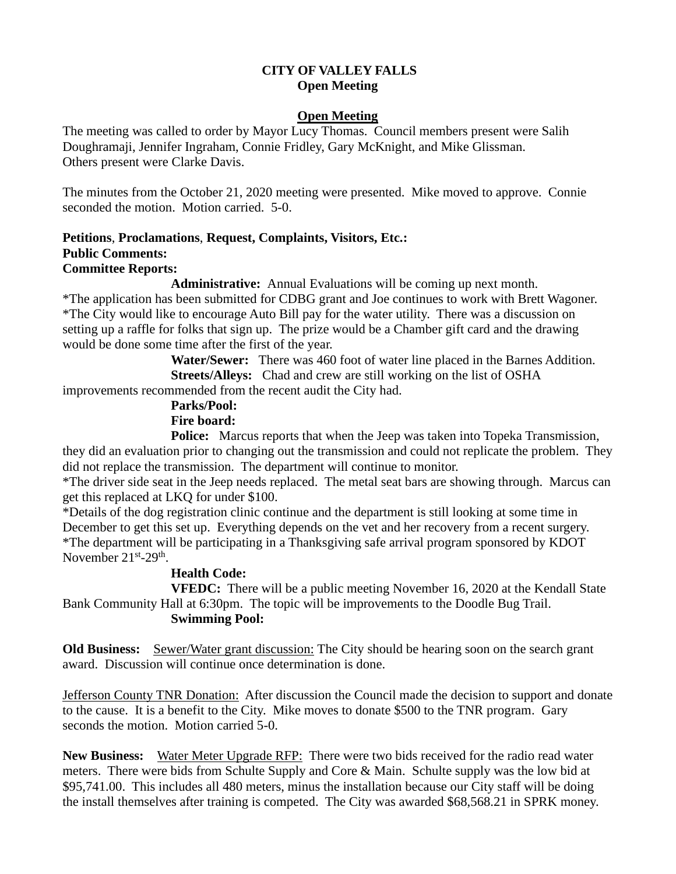# **CITY OF VALLEY FALLS Open Meeting**

### **Open Meeting**

The meeting was called to order by Mayor Lucy Thomas. Council members present were Salih Doughramaji, Jennifer Ingraham, Connie Fridley, Gary McKnight, and Mike Glissman. Others present were Clarke Davis.

The minutes from the October 21, 2020 meeting were presented. Mike moved to approve. Connie seconded the motion. Motion carried. 5-0.

#### **Petitions**, **Proclamations**, **Request, Complaints, Visitors, Etc.: Public Comments: Committee Reports:**

**Administrative:** Annual Evaluations will be coming up next month.

\*The application has been submitted for CDBG grant and Joe continues to work with Brett Wagoner. \*The City would like to encourage Auto Bill pay for the water utility. There was a discussion on setting up a raffle for folks that sign up. The prize would be a Chamber gift card and the drawing would be done some time after the first of the year.

> **Water/Sewer:** There was 460 foot of water line placed in the Barnes Addition. **Streets/Alleys:** Chad and crew are still working on the list of OSHA

improvements recommended from the recent audit the City had.

# **Parks/Pool: Fire board:**

**Police:** Marcus reports that when the Jeep was taken into Topeka Transmission, they did an evaluation prior to changing out the transmission and could not replicate the problem. They did not replace the transmission. The department will continue to monitor.

\*The driver side seat in the Jeep needs replaced. The metal seat bars are showing through. Marcus can get this replaced at LKQ for under \$100.

\*Details of the dog registration clinic continue and the department is still looking at some time in December to get this set up. Everything depends on the vet and her recovery from a recent surgery. \*The department will be participating in a Thanksgiving safe arrival program sponsored by KDOT November  $21^{\text{st}}$ -29<sup>th</sup>.

## **Health Code:**

**VFEDC:** There will be a public meeting November 16, 2020 at the Kendall State Bank Community Hall at 6:30pm. The topic will be improvements to the Doodle Bug Trail. **Swimming Pool:** 

**Old Business:** Sewer/Water grant discussion: The City should be hearing soon on the search grant award. Discussion will continue once determination is done.

Jefferson County TNR Donation: After discussion the Council made the decision to support and donate to the cause. It is a benefit to the City. Mike moves to donate \$500 to the TNR program. Gary seconds the motion. Motion carried 5-0.

**New Business:** Water Meter Upgrade RFP: There were two bids received for the radio read water meters. There were bids from Schulte Supply and Core & Main. Schulte supply was the low bid at \$95,741.00. This includes all 480 meters, minus the installation because our City staff will be doing the install themselves after training is competed. The City was awarded \$68,568.21 in SPRK money.